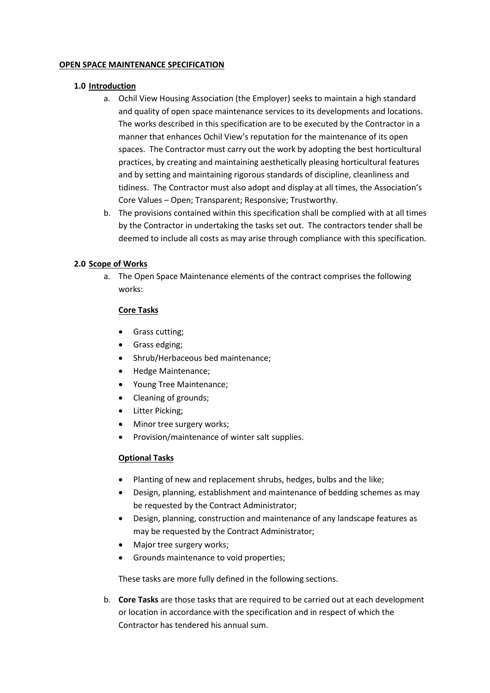## **OPEN SPACE MAINTENANCE SPECIFICATION**

# **1.0 Introduction**

- a. Ochil View Housing Association (the Employer) seeks to maintain a high standard and quality of open space maintenance services to its developments and locations. The works described in this specification are to be executed by the Contractor in a manner that enhances Ochil View's reputation for the maintenance of its open spaces. The Contractor must carry out the work by adopting the best horticultural practices, by creating and maintaining aesthetically pleasing horticultural features and by setting and maintaining rigorous standards of discipline, cleanliness and tidiness. The Contractor must also adopt and display at all times, the Association's Core Values – Open; Transparent; Responsive; Trustworthy.
- b. The provisions contained within this specification shall be complied with at all times by the Contractor in undertaking the tasks set out. The contractors tender shall be deemed to include all costs as may arise through compliance with this specification.

# **2.0 Scope of Works**

a. The Open Space Maintenance elements of the contract comprises the following works:

# **Core Tasks**

- Grass cutting;
- Grass edging;
- Shrub/Herbaceous bed maintenance;
- Hedge Maintenance;
- Young Tree Maintenance;
- Cleaning of grounds;
- Litter Picking;
- Minor tree surgery works;
- Provision/maintenance of winter salt supplies.

# **Optional Tasks**

- Planting of new and replacement shrubs, hedges, bulbs and the like;
- Design, planning, establishment and maintenance of bedding schemes as may be requested by the Contract Administrator;
- Design, planning, construction and maintenance of any landscape features as may be requested by the Contract Administrator;
- Major tree surgery works;
- Grounds maintenance to void properties;

These tasks are more fully defined in the following sections.

b. **Core Tasks** are those tasks that are required to be carried out at each development or location in accordance with the specification and in respect of which the Contractor has tendered his annual sum.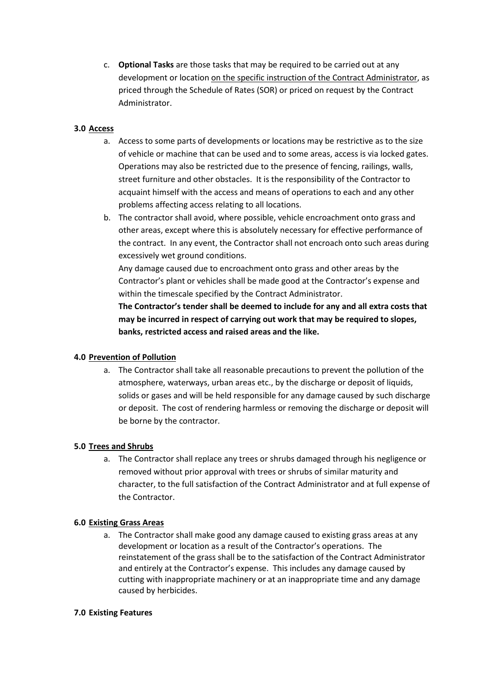c. **Optional Tasks** are those tasks that may be required to be carried out at any development or location on the specific instruction of the Contract Administrator, as priced through the Schedule of Rates (SOR) or priced on request by the Contract Administrator.

# **3.0 Access**

- a. Access to some parts of developments or locations may be restrictive as to the size of vehicle or machine that can be used and to some areas, access is via locked gates. Operations may also be restricted due to the presence of fencing, railings, walls, street furniture and other obstacles. It is the responsibility of the Contractor to acquaint himself with the access and means of operations to each and any other problems affecting access relating to all locations.
- b. The contractor shall avoid, where possible, vehicle encroachment onto grass and other areas, except where this is absolutely necessary for effective performance of the contract. In any event, the Contractor shall not encroach onto such areas during excessively wet ground conditions.

Any damage caused due to encroachment onto grass and other areas by the Contractor's plant or vehicles shall be made good at the Contractor's expense and within the timescale specified by the Contract Administrator.

**The Contractor's tender shall be deemed to include for any and all extra costs that may be incurred in respect of carrying out work that may be required to slopes, banks, restricted access and raised areas and the like.**

# **4.0 Prevention of Pollution**

a. The Contractor shall take all reasonable precautions to prevent the pollution of the atmosphere, waterways, urban areas etc., by the discharge or deposit of liquids, solids or gases and will be held responsible for any damage caused by such discharge or deposit. The cost of rendering harmless or removing the discharge or deposit will be borne by the contractor.

# **5.0 Trees and Shrubs**

a. The Contractor shall replace any trees or shrubs damaged through his negligence or removed without prior approval with trees or shrubs of similar maturity and character, to the full satisfaction of the Contract Administrator and at full expense of the Contractor.

# **6.0 Existing Grass Areas**

a. The Contractor shall make good any damage caused to existing grass areas at any development or location as a result of the Contractor's operations. The reinstatement of the grass shall be to the satisfaction of the Contract Administrator and entirely at the Contractor's expense. This includes any damage caused by cutting with inappropriate machinery or at an inappropriate time and any damage caused by herbicides.

# **7.0 Existing Features**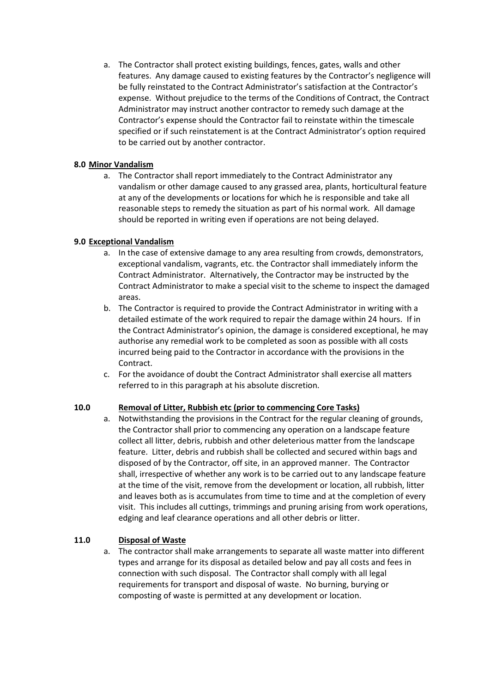a. The Contractor shall protect existing buildings, fences, gates, walls and other features. Any damage caused to existing features by the Contractor's negligence will be fully reinstated to the Contract Administrator's satisfaction at the Contractor's expense. Without prejudice to the terms of the Conditions of Contract, the Contract Administrator may instruct another contractor to remedy such damage at the Contractor's expense should the Contractor fail to reinstate within the timescale specified or if such reinstatement is at the Contract Administrator's option required to be carried out by another contractor.

# **8.0 Minor Vandalism**

a. The Contractor shall report immediately to the Contract Administrator any vandalism or other damage caused to any grassed area, plants, horticultural feature at any of the developments or locations for which he is responsible and take all reasonable steps to remedy the situation as part of his normal work. All damage should be reported in writing even if operations are not being delayed.

# **9.0 Exceptional Vandalism**

- a. In the case of extensive damage to any area resulting from crowds, demonstrators, exceptional vandalism, vagrants, etc. the Contractor shall immediately inform the Contract Administrator. Alternatively, the Contractor may be instructed by the Contract Administrator to make a special visit to the scheme to inspect the damaged areas.
- b. The Contractor is required to provide the Contract Administrator in writing with a detailed estimate of the work required to repair the damage within 24 hours. If in the Contract Administrator's opinion, the damage is considered exceptional, he may authorise any remedial work to be completed as soon as possible with all costs incurred being paid to the Contractor in accordance with the provisions in the Contract.
- c. For the avoidance of doubt the Contract Administrator shall exercise all matters referred to in this paragraph at his absolute discretion.

# **10.0 Removal of Litter, Rubbish etc (prior to commencing Core Tasks)**

a. Notwithstanding the provisions in the Contract for the regular cleaning of grounds, the Contractor shall prior to commencing any operation on a landscape feature collect all litter, debris, rubbish and other deleterious matter from the landscape feature. Litter, debris and rubbish shall be collected and secured within bags and disposed of by the Contractor, off site, in an approved manner. The Contractor shall, irrespective of whether any work is to be carried out to any landscape feature at the time of the visit, remove from the development or location, all rubbish, litter and leaves both as is accumulates from time to time and at the completion of every visit. This includes all cuttings, trimmings and pruning arising from work operations, edging and leaf clearance operations and all other debris or litter.

# **11.0 Disposal of Waste**

a. The contractor shall make arrangements to separate all waste matter into different types and arrange for its disposal as detailed below and pay all costs and fees in connection with such disposal. The Contractor shall comply with all legal requirements for transport and disposal of waste. No burning, burying or composting of waste is permitted at any development or location.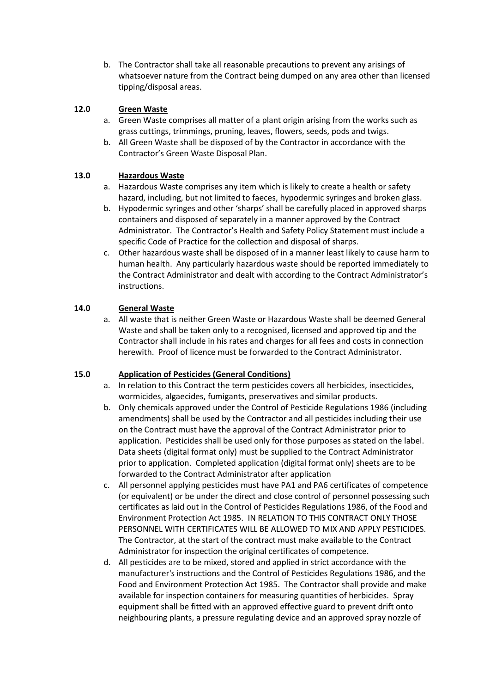b. The Contractor shall take all reasonable precautions to prevent any arisings of whatsoever nature from the Contract being dumped on any area other than licensed tipping/disposal areas.

# **12.0 Green Waste**

- a. Green Waste comprises all matter of a plant origin arising from the works such as grass cuttings, trimmings, pruning, leaves, flowers, seeds, pods and twigs.
- b. All Green Waste shall be disposed of by the Contractor in accordance with the Contractor's Green Waste Disposal Plan.

# **13.0 Hazardous Waste**

- a. Hazardous Waste comprises any item which is likely to create a health or safety hazard, including, but not limited to faeces, hypodermic syringes and broken glass.
- b. Hypodermic syringes and other 'sharps' shall be carefully placed in approved sharps containers and disposed of separately in a manner approved by the Contract Administrator. The Contractor's Health and Safety Policy Statement must include a specific Code of Practice for the collection and disposal of sharps.
- c. Other hazardous waste shall be disposed of in a manner least likely to cause harm to human health. Any particularly hazardous waste should be reported immediately to the Contract Administrator and dealt with according to the Contract Administrator's instructions.

# **14.0 General Waste**

a. All waste that is neither Green Waste or Hazardous Waste shall be deemed General Waste and shall be taken only to a recognised, licensed and approved tip and the Contractor shall include in his rates and charges for all fees and costs in connection herewith. Proof of licence must be forwarded to the Contract Administrator.

# **15.0 Application of Pesticides (General Conditions)**

- a. In relation to this Contract the term pesticides covers all herbicides, insecticides, wormicides, algaecides, fumigants, preservatives and similar products.
- b. Only chemicals approved under the Control of Pesticide Regulations 1986 (including amendments) shall be used by the Contractor and all pesticides including their use on the Contract must have the approval of the Contract Administrator prior to application. Pesticides shall be used only for those purposes as stated on the label. Data sheets (digital format only) must be supplied to the Contract Administrator prior to application. Completed application (digital format only) sheets are to be forwarded to the Contract Administrator after application
- c. All personnel applying pesticides must have PA1 and PA6 certificates of competence (or equivalent) or be under the direct and close control of personnel possessing such certificates as laid out in the Control of Pesticides Regulations 1986, of the Food and Environment Protection Act 1985. IN RELATION TO THIS CONTRACT ONLY THOSE PERSONNEL WITH CERTIFICATES WILL BE ALLOWED TO MIX AND APPLY PESTICIDES. The Contractor, at the start of the contract must make available to the Contract Administrator for inspection the original certificates of competence.
- d. All pesticides are to be mixed, stored and applied in strict accordance with the manufacturer's instructions and the Control of Pesticides Regulations 1986, and the Food and Environment Protection Act 1985. The Contractor shall provide and make available for inspection containers for measuring quantities of herbicides. Spray equipment shall be fitted with an approved effective guard to prevent drift onto neighbouring plants, a pressure regulating device and an approved spray nozzle of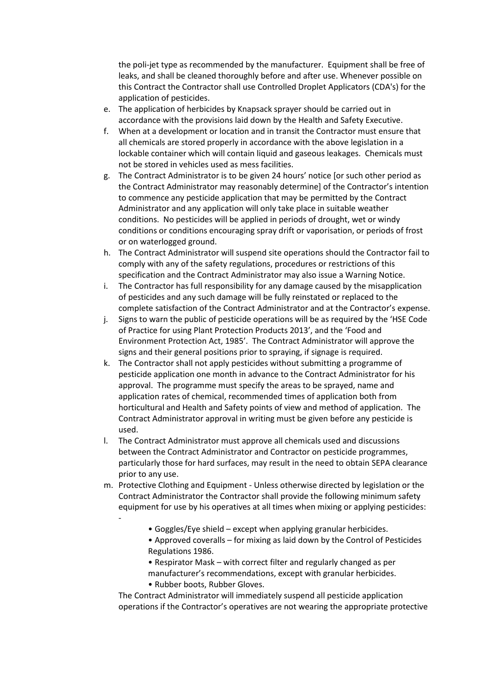the poli-jet type as recommended by the manufacturer. Equipment shall be free of leaks, and shall be cleaned thoroughly before and after use. Whenever possible on this Contract the Contractor shall use Controlled Droplet Applicators (CDA's) for the application of pesticides.

- e. The application of herbicides by Knapsack sprayer should be carried out in accordance with the provisions laid down by the Health and Safety Executive.
- f. When at a development or location and in transit the Contractor must ensure that all chemicals are stored properly in accordance with the above legislation in a lockable container which will contain liquid and gaseous leakages. Chemicals must not be stored in vehicles used as mess facilities.
- g. The Contract Administrator is to be given 24 hours' notice [or such other period as the Contract Administrator may reasonably determine] of the Contractor's intention to commence any pesticide application that may be permitted by the Contract Administrator and any application will only take place in suitable weather conditions. No pesticides will be applied in periods of drought, wet or windy conditions or conditions encouraging spray drift or vaporisation, or periods of frost or on waterlogged ground.
- h. The Contract Administrator will suspend site operations should the Contractor fail to comply with any of the safety regulations, procedures or restrictions of this specification and the Contract Administrator may also issue a Warning Notice.
- i. The Contractor has full responsibility for any damage caused by the misapplication of pesticides and any such damage will be fully reinstated or replaced to the complete satisfaction of the Contract Administrator and at the Contractor's expense.
- j. Signs to warn the public of pesticide operations will be as required by the 'HSE Code of Practice for using Plant Protection Products 2013', and the 'Food and Environment Protection Act, 1985'. The Contract Administrator will approve the signs and their general positions prior to spraying, if signage is required.
- k. The Contractor shall not apply pesticides without submitting a programme of pesticide application one month in advance to the Contract Administrator for his approval. The programme must specify the areas to be sprayed, name and application rates of chemical, recommended times of application both from horticultural and Health and Safety points of view and method of application. The Contract Administrator approval in writing must be given before any pesticide is used.
- l. The Contract Administrator must approve all chemicals used and discussions between the Contract Administrator and Contractor on pesticide programmes, particularly those for hard surfaces, may result in the need to obtain SEPA clearance prior to any use.
- m. Protective Clothing and Equipment Unless otherwise directed by legislation or the Contract Administrator the Contractor shall provide the following minimum safety equipment for use by his operatives at all times when mixing or applying pesticides:
	- Goggles/Eye shield except when applying granular herbicides.
	- Approved coveralls for mixing as laid down by the Control of Pesticides Regulations 1986.
	- Respirator Mask with correct filter and regularly changed as per manufacturer's recommendations, except with granular herbicides.
	- Rubber boots, Rubber Gloves.

-

The Contract Administrator will immediately suspend all pesticide application operations if the Contractor's operatives are not wearing the appropriate protective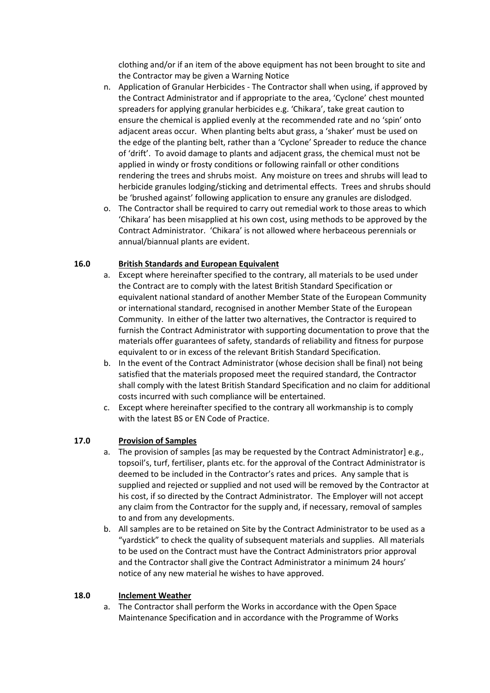clothing and/or if an item of the above equipment has not been brought to site and the Contractor may be given a Warning Notice

- n. Application of Granular Herbicides The Contractor shall when using, if approved by the Contract Administrator and if appropriate to the area, 'Cyclone' chest mounted spreaders for applying granular herbicides e.g. 'Chikara', take great caution to ensure the chemical is applied evenly at the recommended rate and no 'spin' onto adjacent areas occur. When planting belts abut grass, a 'shaker' must be used on the edge of the planting belt, rather than a 'Cyclone' Spreader to reduce the chance of 'drift'. To avoid damage to plants and adjacent grass, the chemical must not be applied in windy or frosty conditions or following rainfall or other conditions rendering the trees and shrubs moist. Any moisture on trees and shrubs will lead to herbicide granules lodging/sticking and detrimental effects. Trees and shrubs should be 'brushed against' following application to ensure any granules are dislodged.
- o. The Contractor shall be required to carry out remedial work to those areas to which 'Chikara' has been misapplied at his own cost, using methods to be approved by the Contract Administrator. 'Chikara' is not allowed where herbaceous perennials or annual/biannual plants are evident.

# **16.0 British Standards and European Equivalent**

- a. Except where hereinafter specified to the contrary, all materials to be used under the Contract are to comply with the latest British Standard Specification or equivalent national standard of another Member State of the European Community or international standard, recognised in another Member State of the European Community. In either of the latter two alternatives, the Contractor is required to furnish the Contract Administrator with supporting documentation to prove that the materials offer guarantees of safety, standards of reliability and fitness for purpose equivalent to or in excess of the relevant British Standard Specification.
- b. In the event of the Contract Administrator (whose decision shall be final) not being satisfied that the materials proposed meet the required standard, the Contractor shall comply with the latest British Standard Specification and no claim for additional costs incurred with such compliance will be entertained.
- c. Except where hereinafter specified to the contrary all workmanship is to comply with the latest BS or EN Code of Practice.

# **17.0 Provision of Samples**

- a. The provision of samples [as may be requested by the Contract Administrator] e.g., topsoil's, turf, fertiliser, plants etc. for the approval of the Contract Administrator is deemed to be included in the Contractor's rates and prices. Any sample that is supplied and rejected or supplied and not used will be removed by the Contractor at his cost, if so directed by the Contract Administrator. The Employer will not accept any claim from the Contractor for the supply and, if necessary, removal of samples to and from any developments.
- b. All samples are to be retained on Site by the Contract Administrator to be used as a "yardstick" to check the quality of subsequent materials and supplies. All materials to be used on the Contract must have the Contract Administrators prior approval and the Contractor shall give the Contract Administrator a minimum 24 hours' notice of any new material he wishes to have approved.

## **18.0 Inclement Weather**

a. The Contractor shall perform the Works in accordance with the Open Space Maintenance Specification and in accordance with the Programme of Works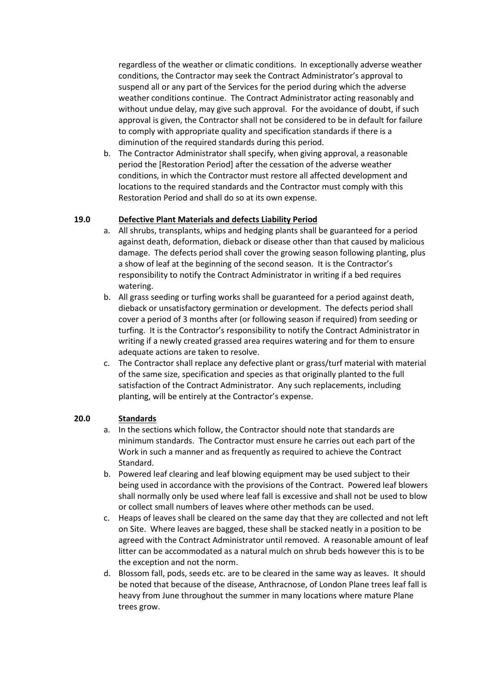regardless of the weather or climatic conditions. In exceptionally adverse weather conditions, the Contractor may seek the Contract Administrator's approval to suspend all or any part of the Services for the period during which the adverse weather conditions continue. The Contract Administrator acting reasonably and without undue delay, may give such approval. For the avoidance of doubt, if such approval is given, the Contractor shall not be considered to be in default for failure to comply with appropriate quality and specification standards if there is a diminution of the required standards during this period.

b. The Contractor Administrator shall specify, when giving approval, a reasonable period the [Restoration Period] after the cessation of the adverse weather conditions, in which the Contractor must restore all affected development and locations to the required standards and the Contractor must comply with this Restoration Period and shall do so at its own expense.

# **19.0 Defective Plant Materials and defects Liability Period**

- a. All shrubs, transplants, whips and hedging plants shall be guaranteed for a period against death, deformation, dieback or disease other than that caused by malicious damage. The defects period shall cover the growing season following planting, plus a show of leaf at the beginning of the second season. It is the Contractor's responsibility to notify the Contract Administrator in writing if a bed requires watering.
- b. All grass seeding or turfing works shall be guaranteed for a period against death, dieback or unsatisfactory germination or development. The defects period shall cover a period of 3 months after (or following season if required) from seeding or turfing. It is the Contractor's responsibility to notify the Contract Administrator in writing if a newly created grassed area requires watering and for them to ensure adequate actions are taken to resolve.
- c. The Contractor shall replace any defective plant or grass/turf material with material of the same size, specification and species as that originally planted to the full satisfaction of the Contract Administrator. Any such replacements, including planting, will be entirely at the Contractor's expense.

## **20.0 Standards**

- a. In the sections which follow, the Contractor should note that standards are minimum standards. The Contractor must ensure he carries out each part of the Work in such a manner and as frequently as required to achieve the Contract Standard.
- b. Powered leaf clearing and leaf blowing equipment may be used subject to their being used in accordance with the provisions of the Contract. Powered leaf blowers shall normally only be used where leaf fall is excessive and shall not be used to blow or collect small numbers of leaves where other methods can be used.
- c. Heaps of leaves shall be cleared on the same day that they are collected and not left on Site. Where leaves are bagged, these shall be stacked neatly in a position to be agreed with the Contract Administrator until removed. A reasonable amount of leaf litter can be accommodated as a natural mulch on shrub beds however this is to be the exception and not the norm.
- d. Blossom fall, pods, seeds etc. are to be cleared in the same way as leaves. It should be noted that because of the disease, Anthracnose, of London Plane trees leaf fall is heavy from June throughout the summer in many locations where mature Plane trees grow.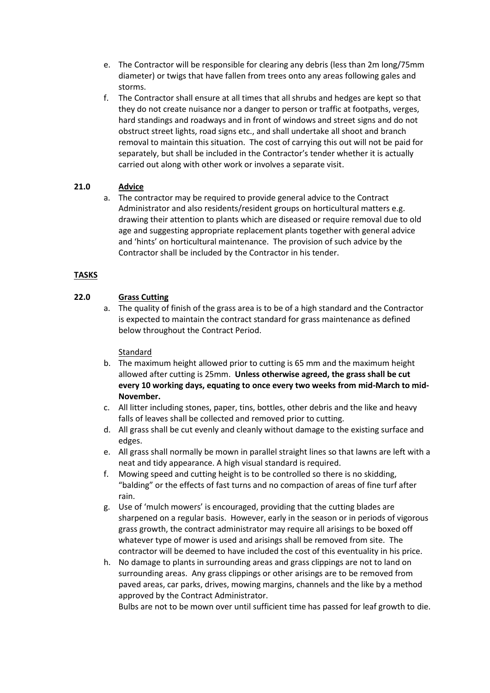- e. The Contractor will be responsible for clearing any debris (less than 2m long/75mm diameter) or twigs that have fallen from trees onto any areas following gales and storms.
- f. The Contractor shall ensure at all times that all shrubs and hedges are kept so that they do not create nuisance nor a danger to person or traffic at footpaths, verges, hard standings and roadways and in front of windows and street signs and do not obstruct street lights, road signs etc., and shall undertake all shoot and branch removal to maintain this situation. The cost of carrying this out will not be paid for separately, but shall be included in the Contractor's tender whether it is actually carried out along with other work or involves a separate visit.

# **21.0 Advice**

a. The contractor may be required to provide general advice to the Contract Administrator and also residents/resident groups on horticultural matters e.g. drawing their attention to plants which are diseased or require removal due to old age and suggesting appropriate replacement plants together with general advice and 'hints' on horticultural maintenance. The provision of such advice by the Contractor shall be included by the Contractor in his tender.

# **TASKS**

# **22.0 Grass Cutting**

a. The quality of finish of the grass area is to be of a high standard and the Contractor is expected to maintain the contract standard for grass maintenance as defined below throughout the Contract Period.

# Standard

- b. The maximum height allowed prior to cutting is 65 mm and the maximum height allowed after cutting is 25mm. **Unless otherwise agreed, the grass shall be cut every 10 working days, equating to once every two weeks from mid-March to mid-November.**
- c. All litter including stones, paper, tins, bottles, other debris and the like and heavy falls of leaves shall be collected and removed prior to cutting.
- d. All grass shall be cut evenly and cleanly without damage to the existing surface and edges.
- e. All grass shall normally be mown in parallel straight lines so that lawns are left with a neat and tidy appearance. A high visual standard is required.
- f. Mowing speed and cutting height is to be controlled so there is no skidding, "balding" or the effects of fast turns and no compaction of areas of fine turf after rain.
- g. Use of 'mulch mowers' is encouraged, providing that the cutting blades are sharpened on a regular basis. However, early in the season or in periods of vigorous grass growth, the contract administrator may require all arisings to be boxed off whatever type of mower is used and arisings shall be removed from site. The contractor will be deemed to have included the cost of this eventuality in his price.
- h. No damage to plants in surrounding areas and grass clippings are not to land on surrounding areas. Any grass clippings or other arisings are to be removed from paved areas, car parks, drives, mowing margins, channels and the like by a method approved by the Contract Administrator.

Bulbs are not to be mown over until sufficient time has passed for leaf growth to die.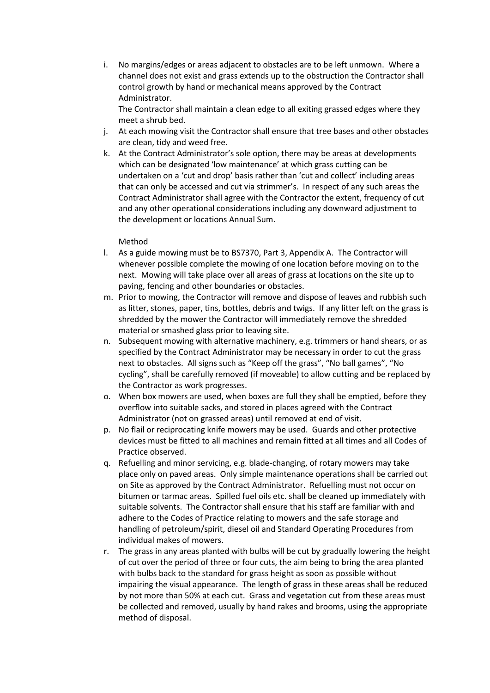i. No margins/edges or areas adjacent to obstacles are to be left unmown. Where a channel does not exist and grass extends up to the obstruction the Contractor shall control growth by hand or mechanical means approved by the Contract Administrator.

The Contractor shall maintain a clean edge to all exiting grassed edges where they meet a shrub bed.

- j. At each mowing visit the Contractor shall ensure that tree bases and other obstacles are clean, tidy and weed free.
- k. At the Contract Administrator's sole option, there may be areas at developments which can be designated 'low maintenance' at which grass cutting can be undertaken on a 'cut and drop' basis rather than 'cut and collect' including areas that can only be accessed and cut via strimmer's. In respect of any such areas the Contract Administrator shall agree with the Contractor the extent, frequency of cut and any other operational considerations including any downward adjustment to the development or locations Annual Sum.

# Method

- l. As a guide mowing must be to BS7370, Part 3, Appendix A. The Contractor will whenever possible complete the mowing of one location before moving on to the next. Mowing will take place over all areas of grass at locations on the site up to paving, fencing and other boundaries or obstacles.
- m. Prior to mowing, the Contractor will remove and dispose of leaves and rubbish such as litter, stones, paper, tins, bottles, debris and twigs. If any litter left on the grass is shredded by the mower the Contractor will immediately remove the shredded material or smashed glass prior to leaving site.
- n. Subsequent mowing with alternative machinery, e.g. trimmers or hand shears, or as specified by the Contract Administrator may be necessary in order to cut the grass next to obstacles. All signs such as "Keep off the grass", "No ball games", "No cycling", shall be carefully removed (if moveable) to allow cutting and be replaced by the Contractor as work progresses.
- o. When box mowers are used, when boxes are full they shall be emptied, before they overflow into suitable sacks, and stored in places agreed with the Contract Administrator (not on grassed areas) until removed at end of visit.
- p. No flail or reciprocating knife mowers may be used. Guards and other protective devices must be fitted to all machines and remain fitted at all times and all Codes of Practice observed.
- q. Refuelling and minor servicing, e.g. blade-changing, of rotary mowers may take place only on paved areas. Only simple maintenance operations shall be carried out on Site as approved by the Contract Administrator. Refuelling must not occur on bitumen or tarmac areas. Spilled fuel oils etc. shall be cleaned up immediately with suitable solvents. The Contractor shall ensure that his staff are familiar with and adhere to the Codes of Practice relating to mowers and the safe storage and handling of petroleum/spirit, diesel oil and Standard Operating Procedures from individual makes of mowers.
- r. The grass in any areas planted with bulbs will be cut by gradually lowering the height of cut over the period of three or four cuts, the aim being to bring the area planted with bulbs back to the standard for grass height as soon as possible without impairing the visual appearance. The length of grass in these areas shall be reduced by not more than 50% at each cut. Grass and vegetation cut from these areas must be collected and removed, usually by hand rakes and brooms, using the appropriate method of disposal.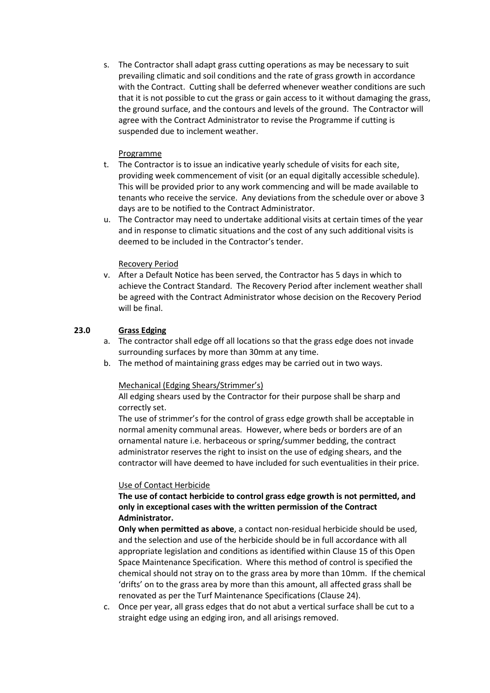s. The Contractor shall adapt grass cutting operations as may be necessary to suit prevailing climatic and soil conditions and the rate of grass growth in accordance with the Contract. Cutting shall be deferred whenever weather conditions are such that it is not possible to cut the grass or gain access to it without damaging the grass, the ground surface, and the contours and levels of the ground. The Contractor will agree with the Contract Administrator to revise the Programme if cutting is suspended due to inclement weather.

# Programme

- t. The Contractor is to issue an indicative yearly schedule of visits for each site, providing week commencement of visit (or an equal digitally accessible schedule). This will be provided prior to any work commencing and will be made available to tenants who receive the service. Any deviations from the schedule over or above 3 days are to be notified to the Contract Administrator.
- u. The Contractor may need to undertake additional visits at certain times of the year and in response to climatic situations and the cost of any such additional visits is deemed to be included in the Contractor's tender.

# Recovery Period

v. After a Default Notice has been served, the Contractor has 5 days in which to achieve the Contract Standard. The Recovery Period after inclement weather shall be agreed with the Contract Administrator whose decision on the Recovery Period will be final.

# **23.0 Grass Edging**

- a. The contractor shall edge off all locations so that the grass edge does not invade surrounding surfaces by more than 30mm at any time.
- b. The method of maintaining grass edges may be carried out in two ways.

## Mechanical (Edging Shears/Strimmer's)

All edging shears used by the Contractor for their purpose shall be sharp and correctly set.

The use of strimmer's for the control of grass edge growth shall be acceptable in normal amenity communal areas. However, where beds or borders are of an ornamental nature i.e. herbaceous or spring/summer bedding, the contract administrator reserves the right to insist on the use of edging shears, and the contractor will have deemed to have included for such eventualities in their price.

## Use of Contact Herbicide

## **The use of contact herbicide to control grass edge growth is not permitted, and only in exceptional cases with the written permission of the Contract Administrator.**

**Only when permitted as above**, a contact non-residual herbicide should be used, and the selection and use of the herbicide should be in full accordance with all appropriate legislation and conditions as identified within Clause 15 of this Open Space Maintenance Specification. Where this method of control is specified the chemical should not stray on to the grass area by more than 10mm. If the chemical 'drifts' on to the grass area by more than this amount, all affected grass shall be renovated as per the Turf Maintenance Specifications (Clause 24).

c. Once per year, all grass edges that do not abut a vertical surface shall be cut to a straight edge using an edging iron, and all arisings removed.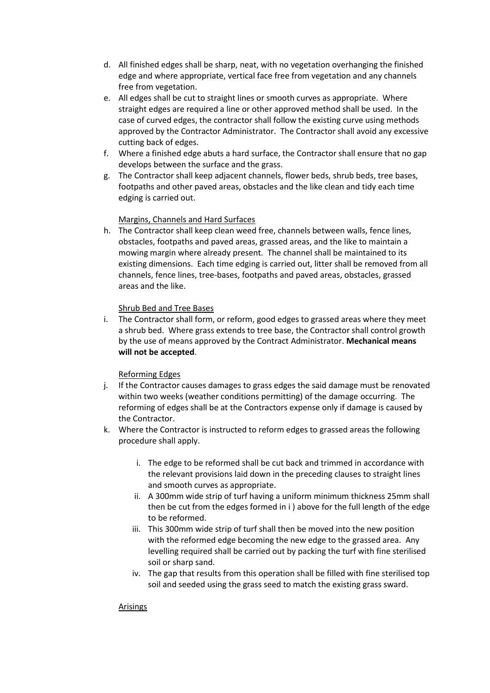- d. All finished edges shall be sharp, neat, with no vegetation overhanging the finished edge and where appropriate, vertical face free from vegetation and any channels free from vegetation.
- e. All edges shall be cut to straight lines or smooth curves as appropriate. Where straight edges are required a line or other approved method shall be used. In the case of curved edges, the contractor shall follow the existing curve using methods approved by the Contractor Administrator. The Contractor shall avoid any excessive cutting back of edges.
- f. Where a finished edge abuts a hard surface, the Contractor shall ensure that no gap develops between the surface and the grass.
- g. The Contractor shall keep adjacent channels, flower beds, shrub beds, tree bases, footpaths and other paved areas, obstacles and the like clean and tidy each time edging is carried out.

# Margins, Channels and Hard Surfaces

h. The Contractor shall keep clean weed free, channels between walls, fence lines, obstacles, footpaths and paved areas, grassed areas, and the like to maintain a mowing margin where already present. The channel shall be maintained to its existing dimensions. Each time edging is carried out, litter shall be removed from all channels, fence lines, tree-bases, footpaths and paved areas, obstacles, grassed areas and the like.

## Shrub Bed and Tree Bases

i. The Contractor shall form, or reform, good edges to grassed areas where they meet a shrub bed. Where grass extends to tree base, the Contractor shall control growth by the use of means approved by the Contract Administrator. **Mechanical means will not be accepted**.

# Reforming Edges

- j. If the Contractor causes damages to grass edges the said damage must be renovated within two weeks (weather conditions permitting) of the damage occurring. The reforming of edges shall be at the Contractors expense only if damage is caused by the Contractor.
- k. Where the Contractor is instructed to reform edges to grassed areas the following procedure shall apply.
	- i. The edge to be reformed shall be cut back and trimmed in accordance with the relevant provisions laid down in the preceding clauses to straight lines and smooth curves as appropriate.
	- ii. A 300mm wide strip of turf having a uniform minimum thickness 25mm shall then be cut from the edges formed in i ) above for the full length of the edge to be reformed.
	- iii. This 300mm wide strip of turf shall then be moved into the new position with the reformed edge becoming the new edge to the grassed area. Any levelling required shall be carried out by packing the turf with fine sterilised soil or sharp sand.
	- iv. The gap that results from this operation shall be filled with fine sterilised top soil and seeded using the grass seed to match the existing grass sward.

## Arisings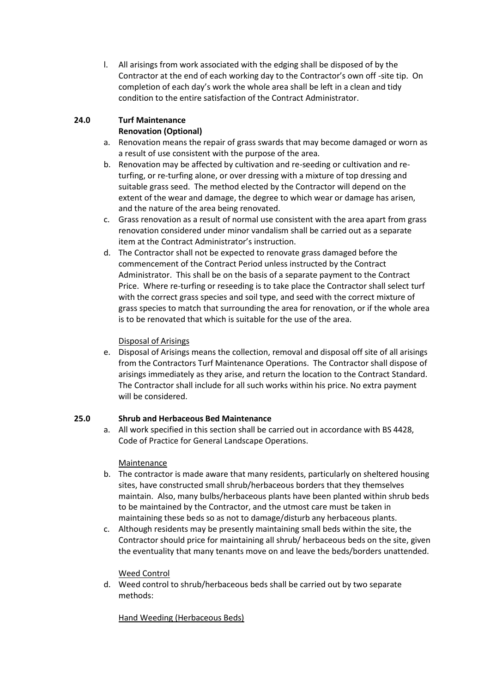l. All arisings from work associated with the edging shall be disposed of by the Contractor at the end of each working day to the Contractor's own off -site tip. On completion of each day's work the whole area shall be left in a clean and tidy condition to the entire satisfaction of the Contract Administrator.

# **24.0 Turf Maintenance**

# **Renovation (Optional)**

- a. Renovation means the repair of grass swards that may become damaged or worn as a result of use consistent with the purpose of the area.
- b. Renovation may be affected by cultivation and re-seeding or cultivation and returfing, or re-turfing alone, or over dressing with a mixture of top dressing and suitable grass seed. The method elected by the Contractor will depend on the extent of the wear and damage, the degree to which wear or damage has arisen, and the nature of the area being renovated.
- c. Grass renovation as a result of normal use consistent with the area apart from grass renovation considered under minor vandalism shall be carried out as a separate item at the Contract Administrator's instruction.
- d. The Contractor shall not be expected to renovate grass damaged before the commencement of the Contract Period unless instructed by the Contract Administrator. This shall be on the basis of a separate payment to the Contract Price. Where re-turfing or reseeding is to take place the Contractor shall select turf with the correct grass species and soil type, and seed with the correct mixture of grass species to match that surrounding the area for renovation, or if the whole area is to be renovated that which is suitable for the use of the area.

# Disposal of Arisings

e. Disposal of Arisings means the collection, removal and disposal off site of all arisings from the Contractors Turf Maintenance Operations. The Contractor shall dispose of arisings immediately as they arise, and return the location to the Contract Standard. The Contractor shall include for all such works within his price. No extra payment will be considered.

# **25.0 Shrub and Herbaceous Bed Maintenance**

a. All work specified in this section shall be carried out in accordance with BS 4428, Code of Practice for General Landscape Operations.

# Maintenance

- b. The contractor is made aware that many residents, particularly on sheltered housing sites, have constructed small shrub/herbaceous borders that they themselves maintain. Also, many bulbs/herbaceous plants have been planted within shrub beds to be maintained by the Contractor, and the utmost care must be taken in maintaining these beds so as not to damage/disturb any herbaceous plants.
- c. Although residents may be presently maintaining small beds within the site, the Contractor should price for maintaining all shrub/ herbaceous beds on the site, given the eventuality that many tenants move on and leave the beds/borders unattended.

# Weed Control

d. Weed control to shrub/herbaceous beds shall be carried out by two separate methods:

# Hand Weeding (Herbaceous Beds)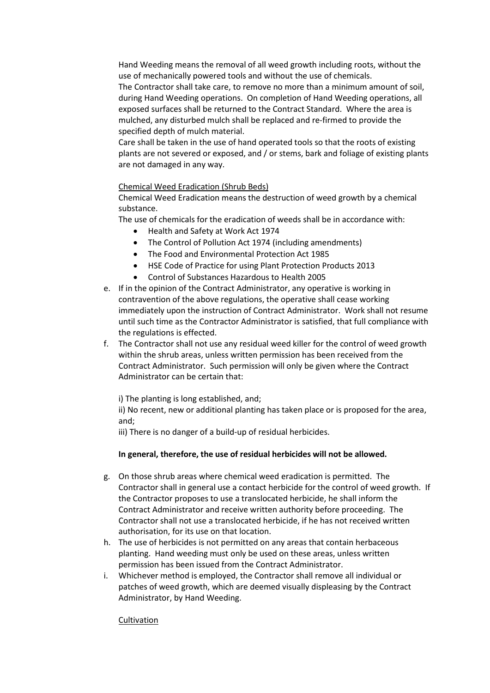Hand Weeding means the removal of all weed growth including roots, without the use of mechanically powered tools and without the use of chemicals. The Contractor shall take care, to remove no more than a minimum amount of soil, during Hand Weeding operations. On completion of Hand Weeding operations, all exposed surfaces shall be returned to the Contract Standard. Where the area is mulched, any disturbed mulch shall be replaced and re-firmed to provide the

specified depth of mulch material. Care shall be taken in the use of hand operated tools so that the roots of existing plants are not severed or exposed, and / or stems, bark and foliage of existing plants are not damaged in any way.

## Chemical Weed Eradication (Shrub Beds)

Chemical Weed Eradication means the destruction of weed growth by a chemical substance.

The use of chemicals for the eradication of weeds shall be in accordance with:

- Health and Safety at Work Act 1974
- The Control of Pollution Act 1974 (including amendments)
- The Food and Environmental Protection Act 1985
- HSE Code of Practice for using Plant Protection Products 2013
- Control of Substances Hazardous to Health 2005
- e. If in the opinion of the Contract Administrator, any operative is working in contravention of the above regulations, the operative shall cease working immediately upon the instruction of Contract Administrator. Work shall not resume until such time as the Contractor Administrator is satisfied, that full compliance with the regulations is effected.
- f. The Contractor shall not use any residual weed killer for the control of weed growth within the shrub areas, unless written permission has been received from the Contract Administrator. Such permission will only be given where the Contract Administrator can be certain that:

i) The planting is long established, and;

ii) No recent, new or additional planting has taken place or is proposed for the area, and;

iii) There is no danger of a build-up of residual herbicides.

## **In general, therefore, the use of residual herbicides will not be allowed.**

- g. On those shrub areas where chemical weed eradication is permitted. The Contractor shall in general use a contact herbicide for the control of weed growth. If the Contractor proposes to use a translocated herbicide, he shall inform the Contract Administrator and receive written authority before proceeding. The Contractor shall not use a translocated herbicide, if he has not received written authorisation, for its use on that location.
- h. The use of herbicides is not permitted on any areas that contain herbaceous planting. Hand weeding must only be used on these areas, unless written permission has been issued from the Contract Administrator.
- i. Whichever method is employed, the Contractor shall remove all individual or patches of weed growth, which are deemed visually displeasing by the Contract Administrator, by Hand Weeding.

## **Cultivation**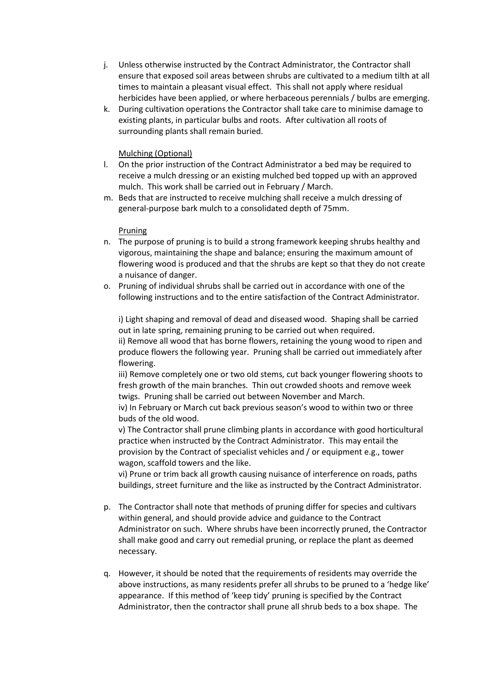- j. Unless otherwise instructed by the Contract Administrator, the Contractor shall ensure that exposed soil areas between shrubs are cultivated to a medium tilth at all times to maintain a pleasant visual effect. This shall not apply where residual herbicides have been applied, or where herbaceous perennials / bulbs are emerging.
- k. During cultivation operations the Contractor shall take care to minimise damage to existing plants, in particular bulbs and roots. After cultivation all roots of surrounding plants shall remain buried.

# Mulching (Optional)

- l. On the prior instruction of the Contract Administrator a bed may be required to receive a mulch dressing or an existing mulched bed topped up with an approved mulch. This work shall be carried out in February / March.
- m. Beds that are instructed to receive mulching shall receive a mulch dressing of general-purpose bark mulch to a consolidated depth of 75mm.

## Pruning

- n. The purpose of pruning is to build a strong framework keeping shrubs healthy and vigorous, maintaining the shape and balance; ensuring the maximum amount of flowering wood is produced and that the shrubs are kept so that they do not create a nuisance of danger.
- o. Pruning of individual shrubs shall be carried out in accordance with one of the following instructions and to the entire satisfaction of the Contract Administrator.

i) Light shaping and removal of dead and diseased wood. Shaping shall be carried out in late spring, remaining pruning to be carried out when required. ii) Remove all wood that has borne flowers, retaining the young wood to ripen and produce flowers the following year. Pruning shall be carried out immediately after flowering.

iii) Remove completely one or two old stems, cut back younger flowering shoots to fresh growth of the main branches. Thin out crowded shoots and remove week twigs. Pruning shall be carried out between November and March.

iv) In February or March cut back previous season's wood to within two or three buds of the old wood.

v) The Contractor shall prune climbing plants in accordance with good horticultural practice when instructed by the Contract Administrator. This may entail the provision by the Contract of specialist vehicles and / or equipment e.g., tower wagon, scaffold towers and the like.

vi) Prune or trim back all growth causing nuisance of interference on roads, paths buildings, street furniture and the like as instructed by the Contract Administrator.

- p. The Contractor shall note that methods of pruning differ for species and cultivars within general, and should provide advice and guidance to the Contract Administrator on such. Where shrubs have been incorrectly pruned, the Contractor shall make good and carry out remedial pruning, or replace the plant as deemed necessary.
- q. However, it should be noted that the requirements of residents may override the above instructions, as many residents prefer all shrubs to be pruned to a 'hedge like' appearance. If this method of 'keep tidy' pruning is specified by the Contract Administrator, then the contractor shall prune all shrub beds to a box shape. The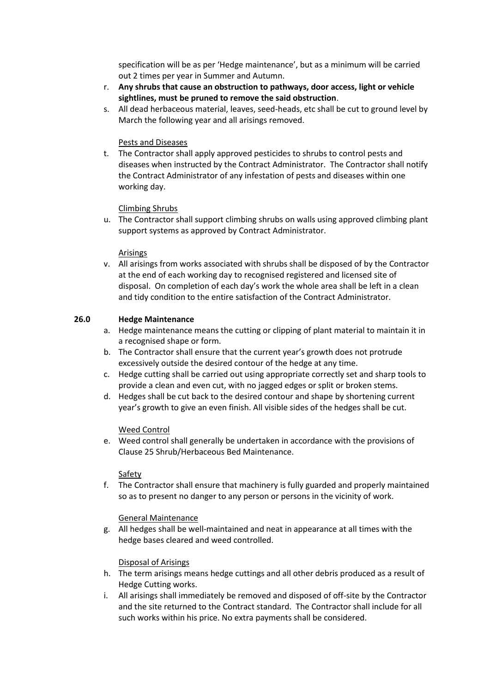specification will be as per 'Hedge maintenance', but as a minimum will be carried out 2 times per year in Summer and Autumn.

- r. **Any shrubs that cause an obstruction to pathways, door access, light or vehicle sightlines, must be pruned to remove the said obstruction**.
- s. All dead herbaceous material, leaves, seed-heads, etc shall be cut to ground level by March the following year and all arisings removed.

## Pests and Diseases

t. The Contractor shall apply approved pesticides to shrubs to control pests and diseases when instructed by the Contract Administrator. The Contractor shall notify the Contract Administrator of any infestation of pests and diseases within one working day.

# Climbing Shrubs

u. The Contractor shall support climbing shrubs on walls using approved climbing plant support systems as approved by Contract Administrator.

# Arisings

v. All arisings from works associated with shrubs shall be disposed of by the Contractor at the end of each working day to recognised registered and licensed site of disposal. On completion of each day's work the whole area shall be left in a clean and tidy condition to the entire satisfaction of the Contract Administrator.

# **26.0 Hedge Maintenance**

- a. Hedge maintenance means the cutting or clipping of plant material to maintain it in a recognised shape or form.
- b. The Contractor shall ensure that the current year's growth does not protrude excessively outside the desired contour of the hedge at any time.
- c. Hedge cutting shall be carried out using appropriate correctly set and sharp tools to provide a clean and even cut, with no jagged edges or split or broken stems.
- d. Hedges shall be cut back to the desired contour and shape by shortening current year's growth to give an even finish. All visible sides of the hedges shall be cut.

## Weed Control

e. Weed control shall generally be undertaken in accordance with the provisions of Clause 25 Shrub/Herbaceous Bed Maintenance.

## Safety

f. The Contractor shall ensure that machinery is fully guarded and properly maintained so as to present no danger to any person or persons in the vicinity of work.

## General Maintenance

g. All hedges shall be well-maintained and neat in appearance at all times with the hedge bases cleared and weed controlled.

## Disposal of Arisings

- h. The term arisings means hedge cuttings and all other debris produced as a result of Hedge Cutting works.
- i. All arisings shall immediately be removed and disposed of off-site by the Contractor and the site returned to the Contract standard. The Contractor shall include for all such works within his price. No extra payments shall be considered.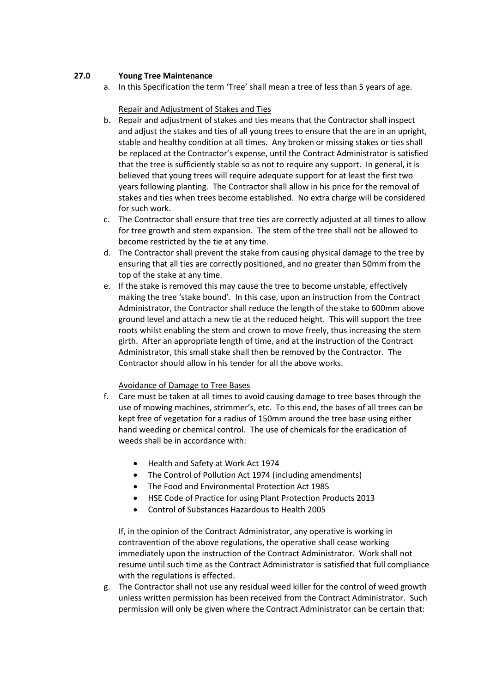# **27.0 Young Tree Maintenance**

a. In this Specification the term 'Tree' shall mean a tree of less than 5 years of age.

## Repair and Adjustment of Stakes and Ties

- b. Repair and adjustment of stakes and ties means that the Contractor shall inspect and adjust the stakes and ties of all young trees to ensure that the are in an upright, stable and healthy condition at all times. Any broken or missing stakes or ties shall be replaced at the Contractor's expense, until the Contract Administrator is satisfied that the tree is sufficiently stable so as not to require any support. In general, it is believed that young trees will require adequate support for at least the first two years following planting. The Contractor shall allow in his price for the removal of stakes and ties when trees become established. No extra charge will be considered for such work.
- c. The Contractor shall ensure that tree ties are correctly adjusted at all times to allow for tree growth and stem expansion. The stem of the tree shall not be allowed to become restricted by the tie at any time.
- d. The Contractor shall prevent the stake from causing physical damage to the tree by ensuring that all ties are correctly positioned, and no greater than 50mm from the top of the stake at any time.
- e. If the stake is removed this may cause the tree to become unstable, effectively making the tree 'stake bound'. In this case, upon an instruction from the Contract Administrator, the Contractor shall reduce the length of the stake to 600mm above ground level and attach a new tie at the reduced height. This will support the tree roots whilst enabling the stem and crown to move freely, thus increasing the stem girth. After an appropriate length of time, and at the instruction of the Contract Administrator, this small stake shall then be removed by the Contractor. The Contractor should allow in his tender for all the above works.

## Avoidance of Damage to Tree Bases

- f. Care must be taken at all times to avoid causing damage to tree bases through the use of mowing machines, strimmer's, etc. To this end, the bases of all trees can be kept free of vegetation for a radius of 150mm around the tree base using either hand weeding or chemical control. The use of chemicals for the eradication of weeds shall be in accordance with:
	- Health and Safety at Work Act 1974
	- The Control of Pollution Act 1974 (including amendments)
	- The Food and Environmental Protection Act 1985
	- HSE Code of Practice for using Plant Protection Products 2013
	- Control of Substances Hazardous to Health 2005

If, in the opinion of the Contract Administrator, any operative is working in contravention of the above regulations, the operative shall cease working immediately upon the instruction of the Contract Administrator. Work shall not resume until such time as the Contract Administrator is satisfied that full compliance with the regulations is effected.

g. The Contractor shall not use any residual weed killer for the control of weed growth unless written permission has been received from the Contract Administrator. Such permission will only be given where the Contract Administrator can be certain that: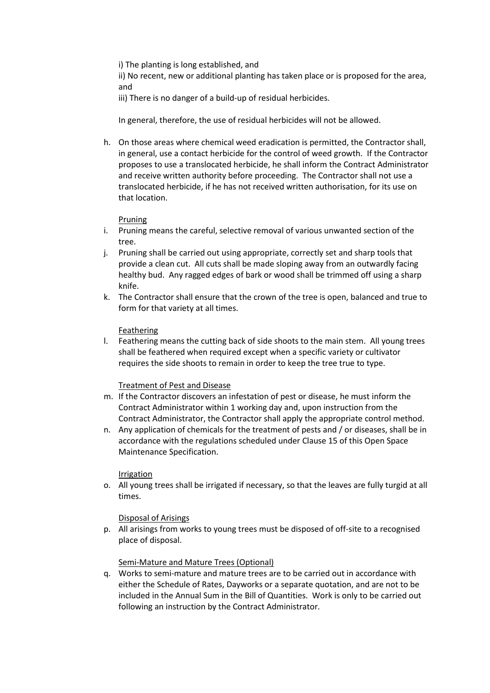i) The planting is long established, and

ii) No recent, new or additional planting has taken place or is proposed for the area, and

iii) There is no danger of a build-up of residual herbicides.

In general, therefore, the use of residual herbicides will not be allowed.

h. On those areas where chemical weed eradication is permitted, the Contractor shall, in general, use a contact herbicide for the control of weed growth. If the Contractor proposes to use a translocated herbicide, he shall inform the Contract Administrator and receive written authority before proceeding. The Contractor shall not use a translocated herbicide, if he has not received written authorisation, for its use on that location.

# Pruning

- i. Pruning means the careful, selective removal of various unwanted section of the tree.
- j. Pruning shall be carried out using appropriate, correctly set and sharp tools that provide a clean cut. All cuts shall be made sloping away from an outwardly facing healthy bud. Any ragged edges of bark or wood shall be trimmed off using a sharp knife.
- k. The Contractor shall ensure that the crown of the tree is open, balanced and true to form for that variety at all times.

# Feathering

l. Feathering means the cutting back of side shoots to the main stem. All young trees shall be feathered when required except when a specific variety or cultivator requires the side shoots to remain in order to keep the tree true to type.

## Treatment of Pest and Disease

- m. If the Contractor discovers an infestation of pest or disease, he must inform the Contract Administrator within 1 working day and, upon instruction from the Contract Administrator, the Contractor shall apply the appropriate control method.
- n. Any application of chemicals for the treatment of pests and / or diseases, shall be in accordance with the regulations scheduled under Clause 15 of this Open Space Maintenance Specification.

## Irrigation

o. All young trees shall be irrigated if necessary, so that the leaves are fully turgid at all times.

# Disposal of Arisings

p. All arisings from works to young trees must be disposed of off-site to a recognised place of disposal.

# Semi-Mature and Mature Trees (Optional)

q. Works to semi-mature and mature trees are to be carried out in accordance with either the Schedule of Rates, Dayworks or a separate quotation, and are not to be included in the Annual Sum in the Bill of Quantities. Work is only to be carried out following an instruction by the Contract Administrator.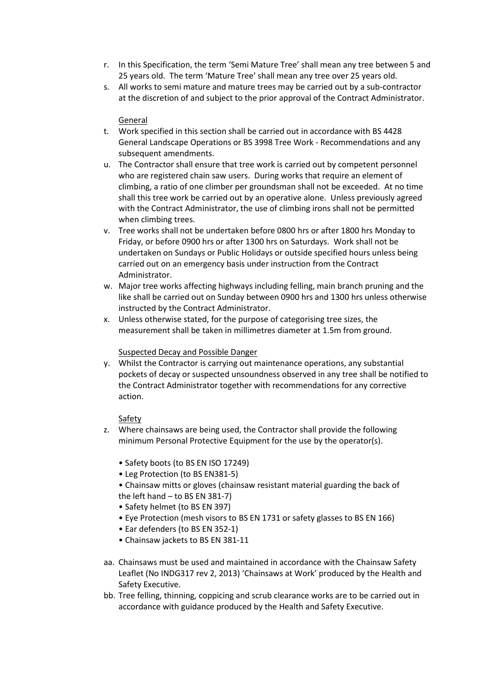- r. In this Specification, the term 'Semi Mature Tree' shall mean any tree between 5 and 25 years old. The term 'Mature Tree' shall mean any tree over 25 years old.
- s. All works to semi mature and mature trees may be carried out by a sub-contractor at the discretion of and subject to the prior approval of the Contract Administrator.

## General

- t. Work specified in this section shall be carried out in accordance with BS 4428 General Landscape Operations or BS 3998 Tree Work - Recommendations and any subsequent amendments.
- u. The Contractor shall ensure that tree work is carried out by competent personnel who are registered chain saw users. During works that require an element of climbing, a ratio of one climber per groundsman shall not be exceeded. At no time shall this tree work be carried out by an operative alone. Unless previously agreed with the Contract Administrator, the use of climbing irons shall not be permitted when climbing trees.
- v. Tree works shall not be undertaken before 0800 hrs or after 1800 hrs Monday to Friday, or before 0900 hrs or after 1300 hrs on Saturdays. Work shall not be undertaken on Sundays or Public Holidays or outside specified hours unless being carried out on an emergency basis under instruction from the Contract Administrator.
- w. Major tree works affecting highways including felling, main branch pruning and the like shall be carried out on Sunday between 0900 hrs and 1300 hrs unless otherwise instructed by the Contract Administrator.
- x. Unless otherwise stated, for the purpose of categorising tree sizes, the measurement shall be taken in millimetres diameter at 1.5m from ground.

## Suspected Decay and Possible Danger

y. Whilst the Contractor is carrying out maintenance operations, any substantial pockets of decay or suspected unsoundness observed in any tree shall be notified to the Contract Administrator together with recommendations for any corrective action.

# Safety

- z. Where chainsaws are being used, the Contractor shall provide the following minimum Personal Protective Equipment for the use by the operator(s).
	- Safety boots (to BS EN ISO 17249)
	- Leg Protection (to BS EN381-5)
	- Chainsaw mitts or gloves (chainsaw resistant material guarding the back of the left hand – to BS EN 381-7)
	- Safety helmet (to BS EN 397)
	- Eye Protection (mesh visors to BS EN 1731 or safety glasses to BS EN 166)
	- Ear defenders (to BS EN 352-1)
	- Chainsaw jackets to BS EN 381-11
- aa. Chainsaws must be used and maintained in accordance with the Chainsaw Safety Leaflet (No INDG317 rev 2, 2013) 'Chainsaws at Work' produced by the Health and Safety Executive.
- bb. Tree felling, thinning, coppicing and scrub clearance works are to be carried out in accordance with guidance produced by the Health and Safety Executive.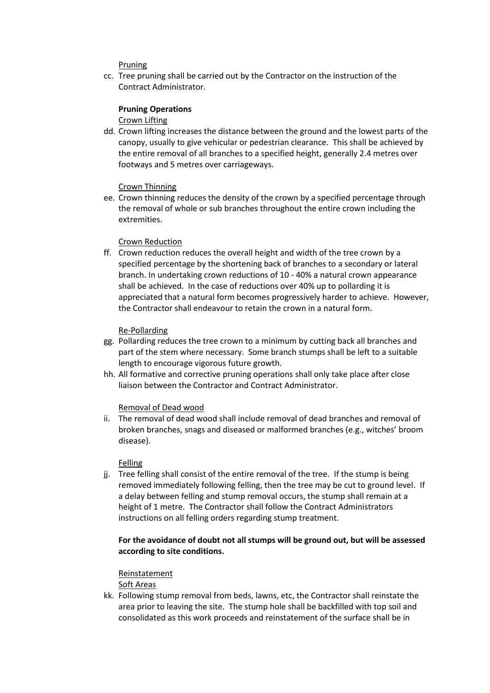## Pruning

cc. Tree pruning shall be carried out by the Contractor on the instruction of the Contract Administrator.

### **Pruning Operations**

Crown Lifting

dd. Crown lifting increases the distance between the ground and the lowest parts of the canopy, usually to give vehicular or pedestrian clearance. This shall be achieved by the entire removal of all branches to a specified height, generally 2.4 metres over footways and 5 metres over carriageways.

### Crown Thinning

ee. Crown thinning reduces the density of the crown by a specified percentage through the removal of whole or sub branches throughout the entire crown including the extremities.

### Crown Reduction

ff. Crown reduction reduces the overall height and width of the tree crown by a specified percentage by the shortening back of branches to a secondary or lateral branch. In undertaking crown reductions of 10 - 40% a natural crown appearance shall be achieved. In the case of reductions over 40% up to pollarding it is appreciated that a natural form becomes progressively harder to achieve. However, the Contractor shall endeavour to retain the crown in a natural form.

### Re-Pollarding

- gg. Pollarding reduces the tree crown to a minimum by cutting back all branches and part of the stem where necessary. Some branch stumps shall be left to a suitable length to encourage vigorous future growth.
- hh. All formative and corrective pruning operations shall only take place after close liaison between the Contractor and Contract Administrator.

### Removal of Dead wood

ii. The removal of dead wood shall include removal of dead branches and removal of broken branches, snags and diseased or malformed branches (e.g., witches' broom disease).

### Felling

jj. Tree felling shall consist of the entire removal of the tree. If the stump is being removed immediately following felling, then the tree may be cut to ground level. If a delay between felling and stump removal occurs, the stump shall remain at a height of 1 metre. The Contractor shall follow the Contract Administrators instructions on all felling orders regarding stump treatment.

## **For the avoidance of doubt not all stumps will be ground out, but will be assessed according to site conditions.**

### Reinstatement

Soft Areas

kk. Following stump removal from beds, lawns, etc, the Contractor shall reinstate the area prior to leaving the site. The stump hole shall be backfilled with top soil and consolidated as this work proceeds and reinstatement of the surface shall be in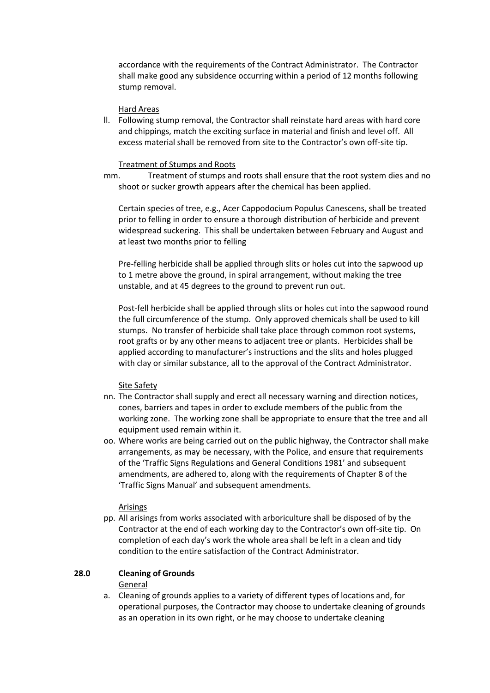accordance with the requirements of the Contract Administrator. The Contractor shall make good any subsidence occurring within a period of 12 months following stump removal.

### Hard Areas

ll. Following stump removal, the Contractor shall reinstate hard areas with hard core and chippings, match the exciting surface in material and finish and level off. All excess material shall be removed from site to the Contractor's own off-site tip.

### Treatment of Stumps and Roots

mm. Treatment of stumps and roots shall ensure that the root system dies and no shoot or sucker growth appears after the chemical has been applied.

Certain species of tree, e.g., Acer Cappodocium Populus Canescens, shall be treated prior to felling in order to ensure a thorough distribution of herbicide and prevent widespread suckering. This shall be undertaken between February and August and at least two months prior to felling

Pre-felling herbicide shall be applied through slits or holes cut into the sapwood up to 1 metre above the ground, in spiral arrangement, without making the tree unstable, and at 45 degrees to the ground to prevent run out.

Post-fell herbicide shall be applied through slits or holes cut into the sapwood round the full circumference of the stump. Only approved chemicals shall be used to kill stumps. No transfer of herbicide shall take place through common root systems, root grafts or by any other means to adjacent tree or plants. Herbicides shall be applied according to manufacturer's instructions and the slits and holes plugged with clay or similar substance, all to the approval of the Contract Administrator.

### Site Safety

- nn. The Contractor shall supply and erect all necessary warning and direction notices, cones, barriers and tapes in order to exclude members of the public from the working zone. The working zone shall be appropriate to ensure that the tree and all equipment used remain within it.
- oo. Where works are being carried out on the public highway, the Contractor shall make arrangements, as may be necessary, with the Police, and ensure that requirements of the 'Traffic Signs Regulations and General Conditions 1981' and subsequent amendments, are adhered to, along with the requirements of Chapter 8 of the 'Traffic Signs Manual' and subsequent amendments.

### Arisings

pp. All arisings from works associated with arboriculture shall be disposed of by the Contractor at the end of each working day to the Contractor's own off-site tip. On completion of each day's work the whole area shall be left in a clean and tidy condition to the entire satisfaction of the Contract Administrator.

# **28.0 Cleaning of Grounds**

General

a. Cleaning of grounds applies to a variety of different types of locations and, for operational purposes, the Contractor may choose to undertake cleaning of grounds as an operation in its own right, or he may choose to undertake cleaning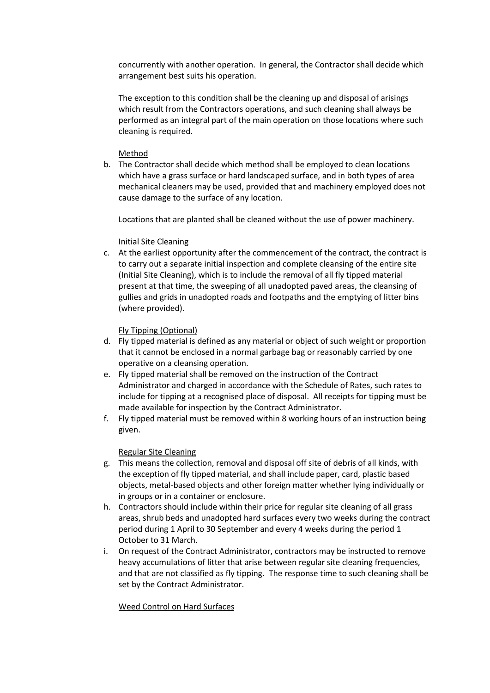concurrently with another operation. In general, the Contractor shall decide which arrangement best suits his operation.

The exception to this condition shall be the cleaning up and disposal of arisings which result from the Contractors operations, and such cleaning shall always be performed as an integral part of the main operation on those locations where such cleaning is required.

# Method

b. The Contractor shall decide which method shall be employed to clean locations which have a grass surface or hard landscaped surface, and in both types of area mechanical cleaners may be used, provided that and machinery employed does not cause damage to the surface of any location.

Locations that are planted shall be cleaned without the use of power machinery.

# Initial Site Cleaning

c. At the earliest opportunity after the commencement of the contract, the contract is to carry out a separate initial inspection and complete cleansing of the entire site (Initial Site Cleaning), which is to include the removal of all fly tipped material present at that time, the sweeping of all unadopted paved areas, the cleansing of gullies and grids in unadopted roads and footpaths and the emptying of litter bins (where provided).

# Fly Tipping (Optional)

- d. Fly tipped material is defined as any material or object of such weight or proportion that it cannot be enclosed in a normal garbage bag or reasonably carried by one operative on a cleansing operation.
- e. Fly tipped material shall be removed on the instruction of the Contract Administrator and charged in accordance with the Schedule of Rates, such rates to include for tipping at a recognised place of disposal. All receipts for tipping must be made available for inspection by the Contract Administrator.
- f. Fly tipped material must be removed within 8 working hours of an instruction being given.

## Regular Site Cleaning

- g. This means the collection, removal and disposal off site of debris of all kinds, with the exception of fly tipped material, and shall include paper, card, plastic based objects, metal-based objects and other foreign matter whether lying individually or in groups or in a container or enclosure.
- h. Contractors should include within their price for regular site cleaning of all grass areas, shrub beds and unadopted hard surfaces every two weeks during the contract period during 1 April to 30 September and every 4 weeks during the period 1 October to 31 March.
- i. On request of the Contract Administrator, contractors may be instructed to remove heavy accumulations of litter that arise between regular site cleaning frequencies, and that are not classified as fly tipping. The response time to such cleaning shall be set by the Contract Administrator.

## Weed Control on Hard Surfaces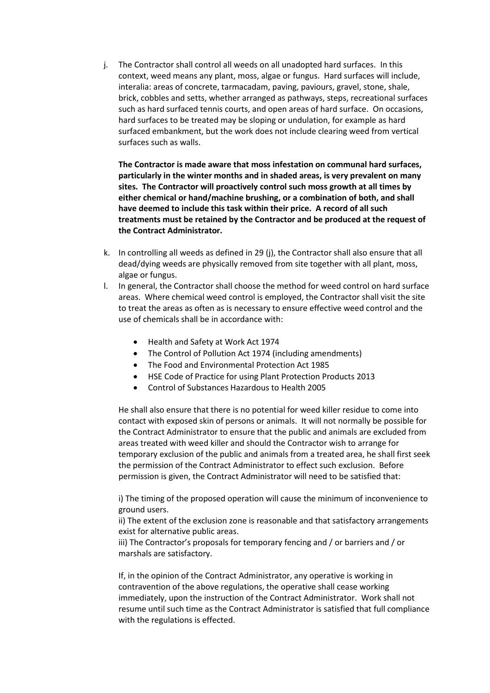j. The Contractor shall control all weeds on all unadopted hard surfaces. In this context, weed means any plant, moss, algae or fungus. Hard surfaces will include, interalia: areas of concrete, tarmacadam, paving, paviours, gravel, stone, shale, brick, cobbles and setts, whether arranged as pathways, steps, recreational surfaces such as hard surfaced tennis courts, and open areas of hard surface. On occasions, hard surfaces to be treated may be sloping or undulation, for example as hard surfaced embankment, but the work does not include clearing weed from vertical surfaces such as walls.

**The Contractor is made aware that moss infestation on communal hard surfaces, particularly in the winter months and in shaded areas, is very prevalent on many sites. The Contractor will proactively control such moss growth at all times by either chemical or hand/machine brushing, or a combination of both, and shall have deemed to include this task within their price. A record of all such treatments must be retained by the Contractor and be produced at the request of the Contract Administrator.**

- k. In controlling all weeds as defined in 29 (j), the Contractor shall also ensure that all dead/dying weeds are physically removed from site together with all plant, moss, algae or fungus.
- l. In general, the Contractor shall choose the method for weed control on hard surface areas. Where chemical weed control is employed, the Contractor shall visit the site to treat the areas as often as is necessary to ensure effective weed control and the use of chemicals shall be in accordance with:
	- Health and Safety at Work Act 1974
	- The Control of Pollution Act 1974 (including amendments)
	- The Food and Environmental Protection Act 1985
	- HSE Code of Practice for using Plant Protection Products 2013
	- Control of Substances Hazardous to Health 2005

He shall also ensure that there is no potential for weed killer residue to come into contact with exposed skin of persons or animals. It will not normally be possible for the Contract Administrator to ensure that the public and animals are excluded from areas treated with weed killer and should the Contractor wish to arrange for temporary exclusion of the public and animals from a treated area, he shall first seek the permission of the Contract Administrator to effect such exclusion. Before permission is given, the Contract Administrator will need to be satisfied that:

i) The timing of the proposed operation will cause the minimum of inconvenience to ground users.

ii) The extent of the exclusion zone is reasonable and that satisfactory arrangements exist for alternative public areas.

iii) The Contractor's proposals for temporary fencing and / or barriers and / or marshals are satisfactory.

If, in the opinion of the Contract Administrator, any operative is working in contravention of the above regulations, the operative shall cease working immediately, upon the instruction of the Contract Administrator. Work shall not resume until such time as the Contract Administrator is satisfied that full compliance with the regulations is effected.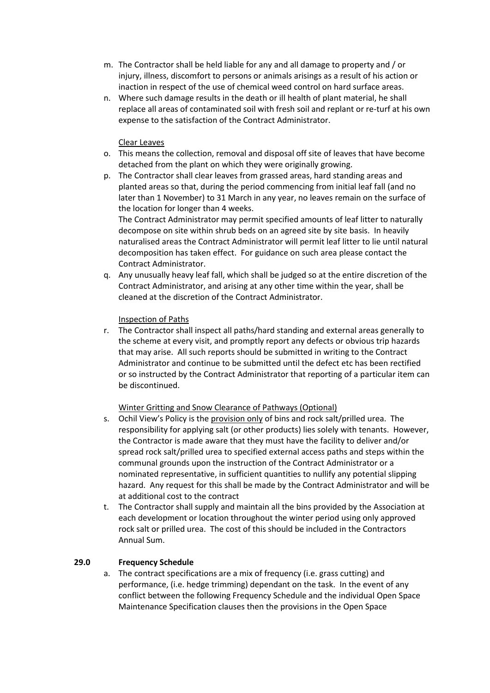- m. The Contractor shall be held liable for any and all damage to property and / or injury, illness, discomfort to persons or animals arisings as a result of his action or inaction in respect of the use of chemical weed control on hard surface areas.
- n. Where such damage results in the death or ill health of plant material, he shall replace all areas of contaminated soil with fresh soil and replant or re-turf at his own expense to the satisfaction of the Contract Administrator.

# Clear Leaves

- o. This means the collection, removal and disposal off site of leaves that have become detached from the plant on which they were originally growing.
- p. The Contractor shall clear leaves from grassed areas, hard standing areas and planted areas so that, during the period commencing from initial leaf fall (and no later than 1 November) to 31 March in any year, no leaves remain on the surface of the location for longer than 4 weeks. The Contract Administrator may permit specified amounts of leaf litter to naturally decompose on site within shrub beds on an agreed site by site basis. In heavily

naturalised areas the Contract Administrator will permit leaf litter to lie until natural decomposition has taken effect. For guidance on such area please contact the Contract Administrator.

q. Any unusually heavy leaf fall, which shall be judged so at the entire discretion of the Contract Administrator, and arising at any other time within the year, shall be cleaned at the discretion of the Contract Administrator.

# Inspection of Paths

r. The Contractor shall inspect all paths/hard standing and external areas generally to the scheme at every visit, and promptly report any defects or obvious trip hazards that may arise. All such reports should be submitted in writing to the Contract Administrator and continue to be submitted until the defect etc has been rectified or so instructed by the Contract Administrator that reporting of a particular item can be discontinued.

## Winter Gritting and Snow Clearance of Pathways (Optional)

- s. Ochil View's Policy is the provision only of bins and rock salt/prilled urea. The responsibility for applying salt (or other products) lies solely with tenants. However, the Contractor is made aware that they must have the facility to deliver and/or spread rock salt/prilled urea to specified external access paths and steps within the communal grounds upon the instruction of the Contract Administrator or a nominated representative, in sufficient quantities to nullify any potential slipping hazard. Any request for this shall be made by the Contract Administrator and will be at additional cost to the contract
- t. The Contractor shall supply and maintain all the bins provided by the Association at each development or location throughout the winter period using only approved rock salt or prilled urea. The cost of this should be included in the Contractors Annual Sum.

# **29.0 Frequency Schedule**

a. The contract specifications are a mix of frequency (i.e. grass cutting) and performance, (i.e. hedge trimming) dependant on the task. In the event of any conflict between the following Frequency Schedule and the individual Open Space Maintenance Specification clauses then the provisions in the Open Space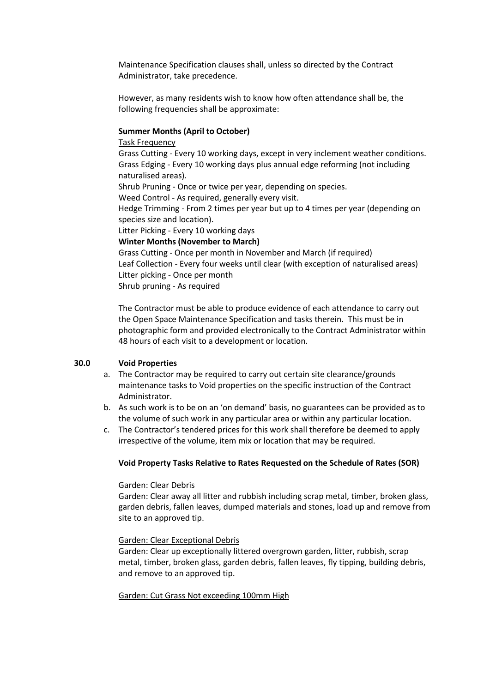Maintenance Specification clauses shall, unless so directed by the Contract Administrator, take precedence.

However, as many residents wish to know how often attendance shall be, the following frequencies shall be approximate:

### **Summer Months (April to October)**

### Task Frequency

Grass Cutting - Every 10 working days, except in very inclement weather conditions. Grass Edging - Every 10 working days plus annual edge reforming (not including naturalised areas).

Shrub Pruning - Once or twice per year, depending on species.

Weed Control - As required, generally every visit.

Hedge Trimming - From 2 times per year but up to 4 times per year (depending on species size and location).

Litter Picking - Every 10 working days

**Winter Months (November to March)**

Grass Cutting - Once per month in November and March (if required) Leaf Collection - Every four weeks until clear (with exception of naturalised areas) Litter picking - Once per month Shrub pruning - As required

The Contractor must be able to produce evidence of each attendance to carry out the Open Space Maintenance Specification and tasks therein. This must be in photographic form and provided electronically to the Contract Administrator within 48 hours of each visit to a development or location.

### **30.0 Void Properties**

- a. The Contractor may be required to carry out certain site clearance/grounds maintenance tasks to Void properties on the specific instruction of the Contract Administrator.
- b. As such work is to be on an 'on demand' basis, no guarantees can be provided as to the volume of such work in any particular area or within any particular location.
- c. The Contractor's tendered prices for this work shall therefore be deemed to apply irrespective of the volume, item mix or location that may be required.

### **Void Property Tasks Relative to Rates Requested on the Schedule of Rates (SOR)**

### Garden: Clear Debris

Garden: Clear away all litter and rubbish including scrap metal, timber, broken glass, garden debris, fallen leaves, dumped materials and stones, load up and remove from site to an approved tip.

#### Garden: Clear Exceptional Debris

Garden: Clear up exceptionally littered overgrown garden, litter, rubbish, scrap metal, timber, broken glass, garden debris, fallen leaves, fly tipping, building debris, and remove to an approved tip.

#### Garden: Cut Grass Not exceeding 100mm High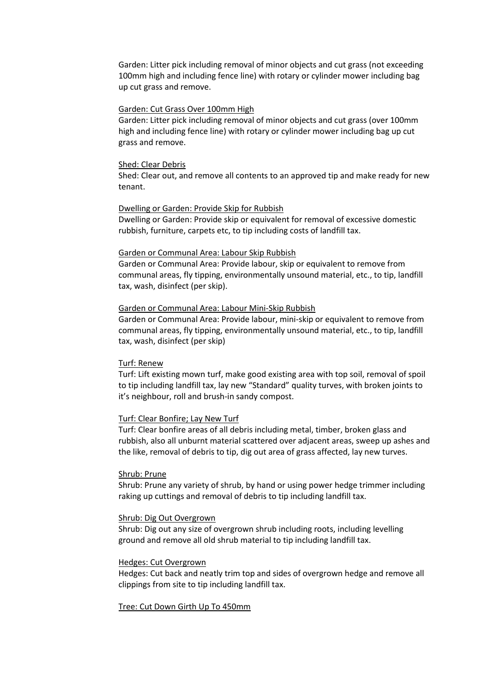Garden: Litter pick including removal of minor objects and cut grass (not exceeding 100mm high and including fence line) with rotary or cylinder mower including bag up cut grass and remove.

#### Garden: Cut Grass Over 100mm High

Garden: Litter pick including removal of minor objects and cut grass (over 100mm high and including fence line) with rotary or cylinder mower including bag up cut grass and remove.

### Shed: Clear Debris

Shed: Clear out, and remove all contents to an approved tip and make ready for new tenant.

#### Dwelling or Garden: Provide Skip for Rubbish

Dwelling or Garden: Provide skip or equivalent for removal of excessive domestic rubbish, furniture, carpets etc, to tip including costs of landfill tax.

### Garden or Communal Area: Labour Skip Rubbish

Garden or Communal Area: Provide labour, skip or equivalent to remove from communal areas, fly tipping, environmentally unsound material, etc., to tip, landfill tax, wash, disinfect (per skip).

#### Garden or Communal Area: Labour Mini-Skip Rubbish

Garden or Communal Area: Provide labour, mini-skip or equivalent to remove from communal areas, fly tipping, environmentally unsound material, etc., to tip, landfill tax, wash, disinfect (per skip)

#### Turf: Renew

Turf: Lift existing mown turf, make good existing area with top soil, removal of spoil to tip including landfill tax, lay new "Standard" quality turves, with broken joints to it's neighbour, roll and brush-in sandy compost.

### Turf: Clear Bonfire; Lay New Turf

Turf: Clear bonfire areas of all debris including metal, timber, broken glass and rubbish, also all unburnt material scattered over adjacent areas, sweep up ashes and the like, removal of debris to tip, dig out area of grass affected, lay new turves.

#### Shrub: Prune

Shrub: Prune any variety of shrub, by hand or using power hedge trimmer including raking up cuttings and removal of debris to tip including landfill tax.

#### Shrub: Dig Out Overgrown

Shrub: Dig out any size of overgrown shrub including roots, including levelling ground and remove all old shrub material to tip including landfill tax.

#### Hedges: Cut Overgrown

Hedges: Cut back and neatly trim top and sides of overgrown hedge and remove all clippings from site to tip including landfill tax.

#### Tree: Cut Down Girth Up To 450mm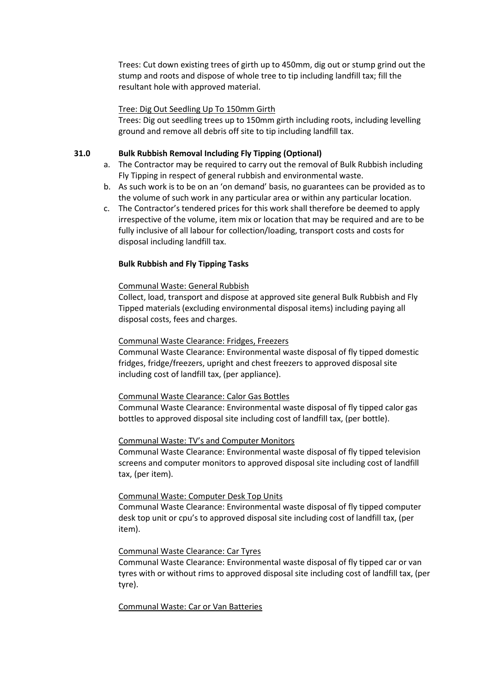Trees: Cut down existing trees of girth up to 450mm, dig out or stump grind out the stump and roots and dispose of whole tree to tip including landfill tax; fill the resultant hole with approved material.

### Tree: Dig Out Seedling Up To 150mm Girth

Trees: Dig out seedling trees up to 150mm girth including roots, including levelling ground and remove all debris off site to tip including landfill tax.

### **31.0 Bulk Rubbish Removal Including Fly Tipping (Optional)**

- a. The Contractor may be required to carry out the removal of Bulk Rubbish including Fly Tipping in respect of general rubbish and environmental waste.
- b. As such work is to be on an 'on demand' basis, no guarantees can be provided as to the volume of such work in any particular area or within any particular location.
- c. The Contractor's tendered prices for this work shall therefore be deemed to apply irrespective of the volume, item mix or location that may be required and are to be fully inclusive of all labour for collection/loading, transport costs and costs for disposal including landfill tax.

### **Bulk Rubbish and Fly Tipping Tasks**

### Communal Waste: General Rubbish

Collect, load, transport and dispose at approved site general Bulk Rubbish and Fly Tipped materials (excluding environmental disposal items) including paying all disposal costs, fees and charges.

### Communal Waste Clearance: Fridges, Freezers

Communal Waste Clearance: Environmental waste disposal of fly tipped domestic fridges, fridge/freezers, upright and chest freezers to approved disposal site including cost of landfill tax, (per appliance).

### Communal Waste Clearance: Calor Gas Bottles

Communal Waste Clearance: Environmental waste disposal of fly tipped calor gas bottles to approved disposal site including cost of landfill tax, (per bottle).

### Communal Waste: TV's and Computer Monitors

Communal Waste Clearance: Environmental waste disposal of fly tipped television screens and computer monitors to approved disposal site including cost of landfill tax, (per item).

### Communal Waste: Computer Desk Top Units

Communal Waste Clearance: Environmental waste disposal of fly tipped computer desk top unit or cpu's to approved disposal site including cost of landfill tax, (per item).

### Communal Waste Clearance: Car Tyres

Communal Waste Clearance: Environmental waste disposal of fly tipped car or van tyres with or without rims to approved disposal site including cost of landfill tax, (per tyre).

### Communal Waste: Car or Van Batteries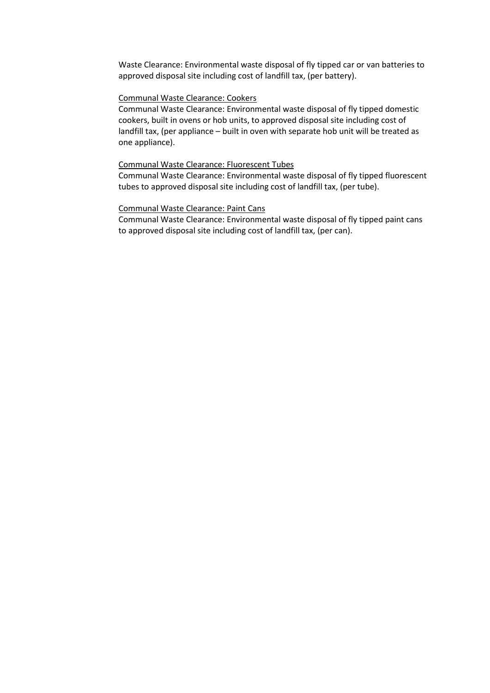Waste Clearance: Environmental waste disposal of fly tipped car or van batteries to approved disposal site including cost of landfill tax, (per battery).

## Communal Waste Clearance: Cookers

Communal Waste Clearance: Environmental waste disposal of fly tipped domestic cookers, built in ovens or hob units, to approved disposal site including cost of landfill tax, (per appliance – built in oven with separate hob unit will be treated as one appliance).

### Communal Waste Clearance: Fluorescent Tubes

Communal Waste Clearance: Environmental waste disposal of fly tipped fluorescent tubes to approved disposal site including cost of landfill tax, (per tube).

### Communal Waste Clearance: Paint Cans

Communal Waste Clearance: Environmental waste disposal of fly tipped paint cans to approved disposal site including cost of landfill tax, (per can).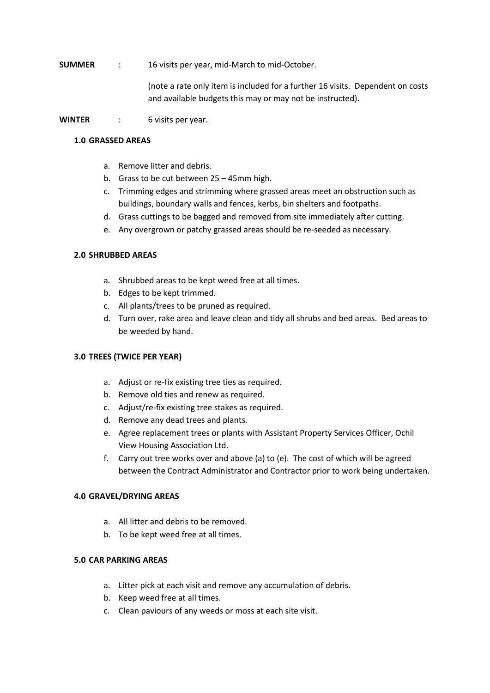**SUMMER** : 16 visits per year, mid-March to mid-October.

(note a rate only item is included for a further 16 visits. Dependent on costs and available budgets this may or may not be instructed).

**WINTER** : 6 visits per year.

## **1.0 GRASSED AREAS**

- a. Remove litter and debris.
- b. Grass to be cut between 25 45mm high.
- c. Trimming edges and strimming where grassed areas meet an obstruction such as buildings, boundary walls and fences, kerbs, bin shelters and footpaths.
- d. Grass cuttings to be bagged and removed from site immediately after cutting.
- e. Any overgrown or patchy grassed areas should be re-seeded as necessary.

# **2.0 SHRUBBED AREAS**

- a. Shrubbed areas to be kept weed free at all times.
- b. Edges to be kept trimmed.
- c. All plants/trees to be pruned as required.
- d. Turn over, rake area and leave clean and tidy all shrubs and bed areas. Bed areas to be weeded by hand.

# **3.0 TREES (TWICE PER YEAR)**

- a. Adjust or re-fix existing tree ties as required.
- b. Remove old ties and renew as required.
- c. Adjust/re-fix existing tree stakes as required.
- d. Remove any dead trees and plants.
- e. Agree replacement trees or plants with Assistant Property Services Officer, Ochil View Housing Association Ltd.
- f. Carry out tree works over and above (a) to (e). The cost of which will be agreed between the Contract Administrator and Contractor prior to work being undertaken.

## **4.0 GRAVEL/DRYING AREAS**

- a. All litter and debris to be removed.
- b. To be kept weed free at all times.

## **5.0 CAR PARKING AREAS**

- a. Litter pick at each visit and remove any accumulation of debris.
- b. Keep weed free at all times.
- c. Clean paviours of any weeds or moss at each site visit.